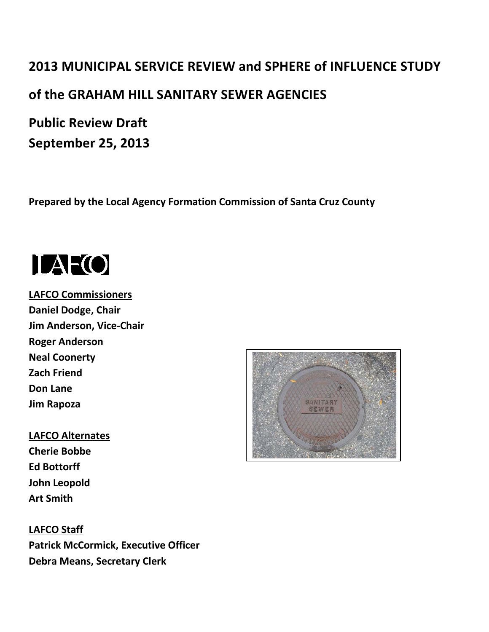# **2013 MUNICIPAL SERVICE REVIEW and SPHERE of INFLUENCE STUDY of the GRAHAM HILL SANITARY SEWER AGENCIES**

**Public Review Draft September 25, 2013**

**Prepared by the Local Agency Formation Commission of Santa Cruz County**



**LAFCO Commissioners Daniel Dodge, Chair Jim Anderson, Vice-Chair Roger Anderson Neal Coonerty Zach Friend Don Lane Jim Rapoza**

**LAFCO Alternates Cherie Bobbe Ed Bottorff John Leopold Art Smith**

**LAFCO Staff Patrick McCormick, Executive Officer Debra Means, Secretary Clerk** 

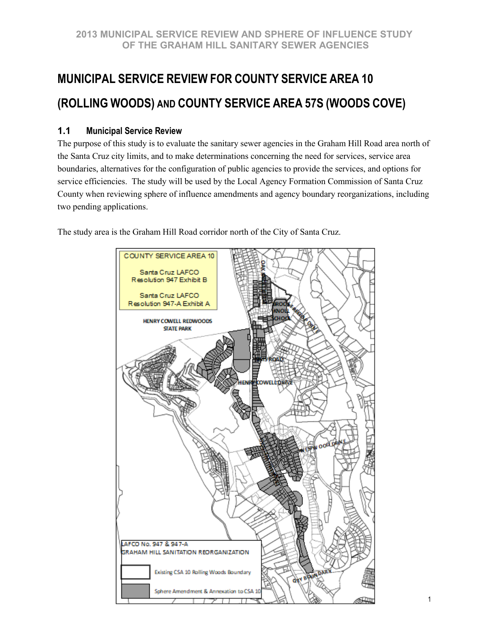## **MUNICIPAL SERVICE REVIEW FOR COUNTY SERVICE AREA 10 (ROLLING WOODS) AND COUNTY SERVICE AREA 57S (WOODS COVE)**

## **1.1 Municipal Service Review**

The purpose of this study is to evaluate the sanitary sewer agencies in the Graham Hill Road area north of the Santa Cruz city limits, and to make determinations concerning the need for services, service area boundaries, alternatives for the configuration of public agencies to provide the services, and options for service efficiencies. The study will be used by the Local Agency Formation Commission of Santa Cruz County when reviewing sphere of influence amendments and agency boundary reorganizations, including two pending applications.

The study area is the Graham Hill Road corridor north of the City of Santa Cruz.

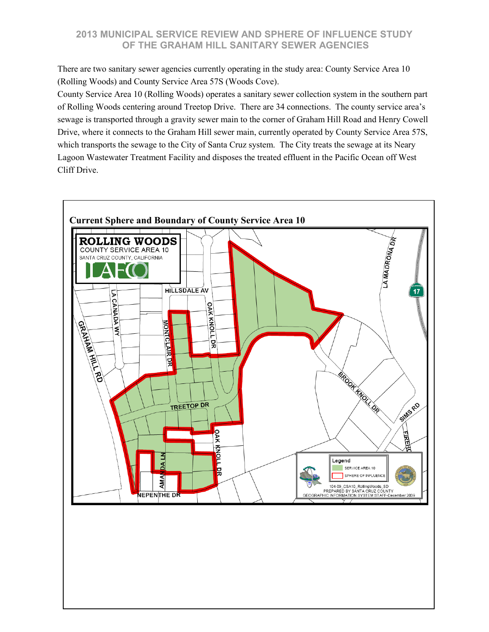There are two sanitary sewer agencies currently operating in the study area: County Service Area 10 (Rolling Woods) and County Service Area 57S (Woods Cove).

County Service Area 10 (Rolling Woods) operates a sanitary sewer collection system in the southern part of Rolling Woods centering around Treetop Drive. There are 34 connections. The county service area's sewage is transported through a gravity sewer main to the corner of Graham Hill Road and Henry Cowell Drive, where it connects to the Graham Hill sewer main, currently operated by County Service Area 57S, which transports the sewage to the City of Santa Cruz system. The City treats the sewage at its Neary Lagoon Wastewater Treatment Facility and disposes the treated effluent in the Pacific Ocean off West Cliff Drive.

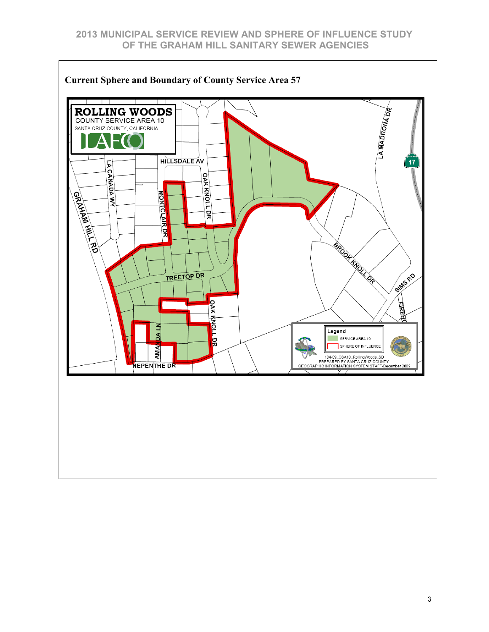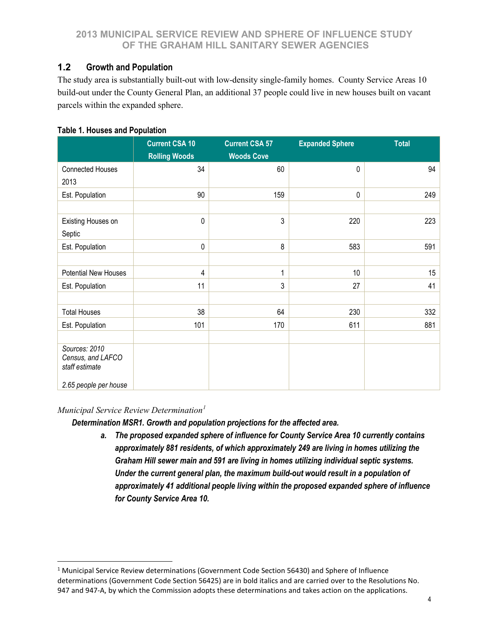## **1.2 Growth and Population**

The study area is substantially built-out with low-density single-family homes. County Service Areas 10 build-out under the County General Plan, an additional 37 people could live in new houses built on vacant parcels within the expanded sphere.

## **Table 1. Houses and Population**

|                                                                               | <b>Current CSA 10</b><br><b>Rolling Woods</b> | <b>Current CSA 57</b><br><b>Woods Cove</b> | <b>Expanded Sphere</b> | <b>Total</b> |
|-------------------------------------------------------------------------------|-----------------------------------------------|--------------------------------------------|------------------------|--------------|
| <b>Connected Houses</b>                                                       | 34                                            | 60                                         | 0                      | 94           |
| 2013                                                                          |                                               |                                            |                        |              |
| Est. Population                                                               | 90                                            | 159                                        | 0                      | 249          |
|                                                                               |                                               |                                            |                        |              |
| Existing Houses on                                                            | $\pmb{0}$                                     | 3                                          | 220                    | 223          |
| Septic                                                                        |                                               |                                            |                        |              |
| Est. Population                                                               | $\pmb{0}$                                     | 8                                          | 583                    | 591          |
|                                                                               |                                               |                                            |                        |              |
| Potential New Houses                                                          | $\overline{4}$                                | 1                                          | 10                     | 15           |
| Est. Population                                                               | 11                                            | 3                                          | 27                     | 41           |
|                                                                               |                                               |                                            |                        |              |
| <b>Total Houses</b>                                                           | 38                                            | 64                                         | 230                    | 332          |
| Est. Population                                                               | 101                                           | 170                                        | 611                    | 881          |
|                                                                               |                                               |                                            |                        |              |
| Sources: 2010<br>Census, and LAFCO<br>staff estimate<br>2.65 people per house |                                               |                                            |                        |              |

#### *Municipal Service Review Determination[1](#page-4-0)*

 $\overline{a}$ 

*Determination MSR1. Growth and population projections for the affected area.*

*a. The proposed expanded sphere of influence for County Service Area 10 currently contains approximately 881 residents, of which approximately 249 are living in homes utilizing the Graham Hill sewer main and 591 are living in homes utilizing individual septic systems. Under the current general plan, the maximum build-out would result in a population of approximately 41 additional people living within the proposed expanded sphere of influence for County Service Area 10.*

<span id="page-4-0"></span><sup>&</sup>lt;sup>1</sup> Municipal Service Review determinations (Government Code Section 56430) and Sphere of Influence determinations (Government Code Section 56425) are in bold italics and are carried over to the Resolutions No. 947 and 947-A, by which the Commission adopts these determinations and takes action on the applications.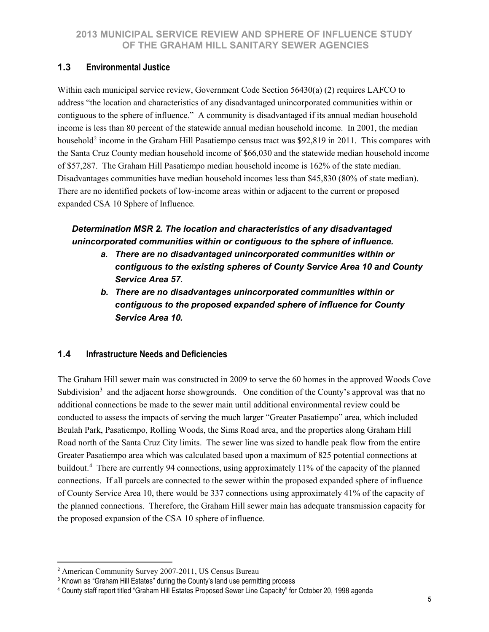## **1.3 Environmental Justice**

Within each municipal service review, Government Code Section 56430(a) (2) requires LAFCO to address "the location and characteristics of any disadvantaged unincorporated communities within or contiguous to the sphere of influence." A community is disadvantaged if its annual median household income is less than 80 percent of the statewide annual median household income. In 2001, the median household<sup>[2](#page-5-0)</sup> income in the Graham Hill Pasatiempo census tract was \$92,819 in 2011. This compares with the Santa Cruz County median household income of \$66,030 and the statewide median household income of \$57,287. The Graham Hill Pasatiempo median household income is 162% of the state median. Disadvantages communities have median household incomes less than \$45,830 (80% of state median). There are no identified pockets of low-income areas within or adjacent to the current or proposed expanded CSA 10 Sphere of Influence.

## *Determination MSR 2. The location and characteristics of any disadvantaged unincorporated communities within or contiguous to the sphere of influence.*

- *a. There are no disadvantaged unincorporated communities within or contiguous to the existing spheres of County Service Area 10 and County Service Area 57.*
- *b. There are no disadvantages unincorporated communities within or contiguous to the proposed expanded sphere of influence for County Service Area 10.*

## **1.4 Infrastructure Needs and Deficiencies**

The Graham Hill sewer main was constructed in 2009 to serve the 60 homes in the approved Woods Cove Subdivision<sup>[3](#page-5-1)</sup> and the adjacent horse showgrounds. One condition of the County's approval was that no additional connections be made to the sewer main until additional environmental review could be conducted to assess the impacts of serving the much larger "Greater Pasatiempo" area, which included Beulah Park, Pasatiempo, Rolling Woods, the Sims Road area, and the properties along Graham Hill Road north of the Santa Cruz City limits. The sewer line was sized to handle peak flow from the entire Greater Pasatiempo area which was calculated based upon a maximum of 825 potential connections at buildout.[4](#page-5-2) There are currently 94 connections, using approximately 11% of the capacity of the planned connections. If all parcels are connected to the sewer within the proposed expanded sphere of influence of County Service Area 10, there would be 337 connections using approximately 41% of the capacity of the planned connections. Therefore, the Graham Hill sewer main has adequate transmission capacity for the proposed expansion of the CSA 10 sphere of influence.

<span id="page-5-0"></span> $\overline{a}$ <sup>2</sup> American Community Survey 2007-2011, US Census Bureau

<span id="page-5-1"></span><sup>&</sup>lt;sup>3</sup> Known as "Graham Hill Estates" during the County's land use permitting process

<span id="page-5-2"></span><sup>4</sup> County staff report titled "Graham Hill Estates Proposed Sewer Line Capacity" for October 20, 1998 agenda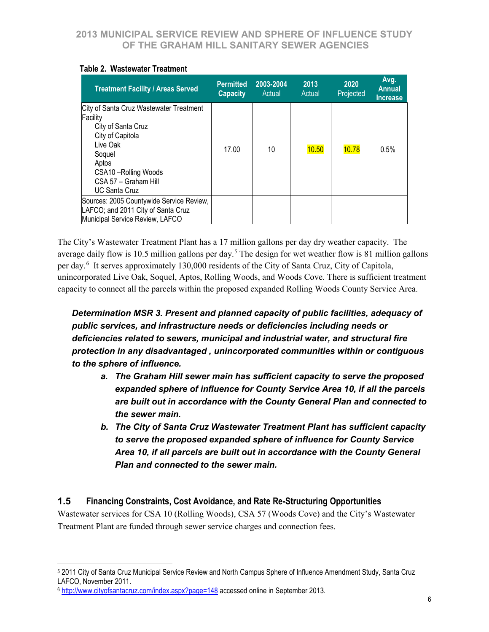| <b>Treatment Facility / Areas Served</b>                                                                                                                                                              | <b>Permitted</b><br><b>Capacity</b> | 2003-2004<br>Actual | 2013<br>Actual | 2020<br>Projected | Avg.<br><b>Annual</b><br><b>Increase</b> |
|-------------------------------------------------------------------------------------------------------------------------------------------------------------------------------------------------------|-------------------------------------|---------------------|----------------|-------------------|------------------------------------------|
| City of Santa Cruz Wastewater Treatment<br>Facility<br>City of Santa Cruz<br>City of Capitola<br>Live Oak<br>Soquel<br>Aptos<br>CSA10 - Rolling Woods<br>CSA 57 - Graham Hill<br><b>UC Santa Cruz</b> | 17.00                               | 10                  | 10.50          | 10.78             | 0.5%                                     |
| Sources: 2005 Countywide Service Review,<br>LAFCO; and 2011 City of Santa Cruz<br>Municipal Service Review, LAFCO                                                                                     |                                     |                     |                |                   |                                          |

#### **Table 2. Wastewater Treatment**

The City's Wastewater Treatment Plant has a 17 million gallons per day dry weather capacity. The average daily flow is 10.[5](#page-6-0) million gallons per day.<sup>5</sup> The design for wet weather flow is 81 million gallons per day.<sup>[6](#page-6-1)</sup> It serves approximately 130,000 residents of the City of Santa Cruz, City of Capitola, unincorporated Live Oak, Soquel, Aptos, Rolling Woods, and Woods Cove. There is sufficient treatment capacity to connect all the parcels within the proposed expanded Rolling Woods County Service Area.

*Determination MSR 3. Present and planned capacity of public facilities, adequacy of public services, and infrastructure needs or deficiencies including needs or deficiencies related to sewers, municipal and industrial water, and structural fire protection in any disadvantaged , unincorporated communities within or contiguous to the sphere of influence.*

- *a. The Graham Hill sewer main has sufficient capacity to serve the proposed expanded sphere of influence for County Service Area 10, if all the parcels are built out in accordance with the County General Plan and connected to the sewer main.*
- *b. The City of Santa Cruz Wastewater Treatment Plant has sufficient capacity to serve the proposed expanded sphere of influence for County Service Area 10, if all parcels are built out in accordance with the County General Plan and connected to the sewer main.*

## **1.5 Financing Constraints, Cost Avoidance, and Rate Re-Structuring Opportunities**

Wastewater services for CSA 10 (Rolling Woods), CSA 57 (Woods Cove) and the City's Wastewater Treatment Plant are funded through sewer service charges and connection fees.

 $\overline{a}$ 

<span id="page-6-0"></span><sup>5</sup> 2011 City of Santa Cruz Municipal Service Review and North Campus Sphere of Influence Amendment Study, Santa Cruz LAFCO, November 2011.

<span id="page-6-1"></span><sup>6</sup> <http://www.cityofsantacruz.com/index.aspx?page=148> accessed online in September 2013.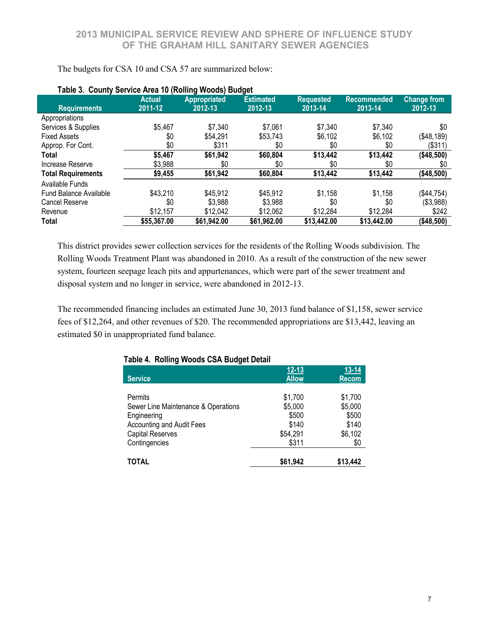| Table 3. County Service Area 10 (Rolling Woods) Budget |                          |                                |                             |                             |                               |                               |
|--------------------------------------------------------|--------------------------|--------------------------------|-----------------------------|-----------------------------|-------------------------------|-------------------------------|
| <b>Requirements</b>                                    | <b>Actual</b><br>2011-12 | <b>Appropriated</b><br>2012-13 | <b>Estimated</b><br>2012-13 | <b>Requested</b><br>2013-14 | <b>Recommended</b><br>2013-14 | <b>Change from</b><br>2012-13 |
| Appropriations                                         |                          |                                |                             |                             |                               |                               |
| Services & Supplies                                    | \$5,467                  | \$7,340                        | \$7,061                     | \$7,340                     | \$7,340                       | \$0                           |
| <b>Fixed Assets</b>                                    | \$0                      | \$54,291                       | \$53,743                    | \$6,102                     | \$6,102                       | ( \$48, 189)                  |
| Approp. For Cont.                                      | \$0                      | \$311                          | \$0                         | \$0                         | \$0                           | (\$311)                       |
| Total                                                  | \$5,467                  | \$61,942                       | \$60,804                    | \$13,442                    | \$13,442                      | (\$48,500)                    |
| Increase Reserve                                       | \$3,988                  | \$0                            | \$0                         | \$0                         | \$0                           | \$0                           |
| <b>Total Requirements</b>                              | \$9,455                  | \$61,942                       | \$60,804                    | \$13,442                    | \$13,442                      | (\$48,500)                    |
| Available Funds                                        |                          |                                |                             |                             |                               |                               |
| Fund Balance Available                                 | \$43,210                 | \$45,912                       | \$45,912                    | \$1,158                     | \$1,158                       | (\$44,754)                    |
| Cancel Reserve                                         | \$0                      | \$3,988                        | \$3.988                     | \$0                         | \$0                           | (\$3,988)                     |
| Revenue                                                | \$12,157                 | \$12,042                       | \$12,062                    | \$12,284                    | \$12,284                      | \$242                         |
| Total                                                  | \$55,367.00              | \$61,942.00                    | \$61,962.00                 | \$13,442.00                 | \$13,442.00                   | ( \$48,500)                   |

#### The budgets for CSA 10 and CSA 57 are summarized below:

This district provides sewer collection services for the residents of the Rolling Woods subdivision. The Rolling Woods Treatment Plant was abandoned in 2010. As a result of the construction of the new sewer system, fourteen seepage leach pits and appurtenances, which were part of the sewer treatment and disposal system and no longer in service, were abandoned in 2012-13.

The recommended financing includes an estimated June 30, 2013 fund balance of \$1,158, sewer service fees of \$12,264, and other revenues of \$20. The recommended appropriations are \$13,442, leaving an estimated \$0 in unappropriated fund balance.

|                                     | $12 - 13$    | $13 - 14$    |
|-------------------------------------|--------------|--------------|
| <b>Service</b>                      | <b>Allow</b> | <b>Recom</b> |
|                                     |              |              |
| Permits                             | \$1,700      | \$1,700      |
| Sewer Line Maintenance & Operations | \$5,000      | \$5,000      |
| Engineering                         | \$500        | \$500        |
| Accounting and Audit Fees           | \$140        | \$140        |
| <b>Capital Reserves</b>             | \$54,291     | \$6,102      |
| Contingencies                       | \$311        | \$0          |
|                                     |              |              |
| <b>TOTAL</b>                        | \$61,942     | \$13,442     |

#### **Table 4. Rolling Woods CSA Budget Detail**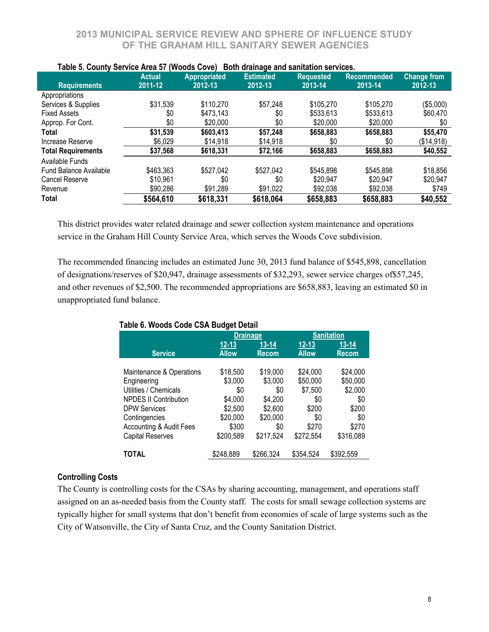|                           | <b>Actual</b> | ,,,,,,,<br><u>.</u><br>----<br><b>Appropriated</b> | <b>Estimated</b> | Middledge and cannacted corricool<br><b>Requested</b> | Recommended | <b>Change from</b> |
|---------------------------|---------------|----------------------------------------------------|------------------|-------------------------------------------------------|-------------|--------------------|
| <b>Requirements</b>       | 2011-12       | 2012-13                                            | 2012-13          | 2013-14                                               | 2013-14     | 2012-13            |
|                           |               |                                                    |                  |                                                       |             |                    |
| Appropriations            |               |                                                    |                  |                                                       |             |                    |
| Services & Supplies       | \$31,539      | \$110,270                                          | \$57,248         | \$105,270                                             | \$105,270   | (\$5,000)          |
| <b>Fixed Assets</b>       | \$0           | \$473,143                                          | \$0              | \$533,613                                             | \$533,613   | \$60,470           |
| Approp. For Cont.         | \$0           | \$20,000                                           | \$0              | \$20,000                                              | \$20,000    | \$0                |
| Total                     | \$31,539      | \$603,413                                          | \$57,248         | \$658,883                                             | \$658,883   | \$55,470           |
| Increase Reserve          | \$6,029       | \$14,918                                           | \$14,918         | \$0                                                   | \$0         | (\$14,918)         |
| <b>Total Requirements</b> | \$37,568      | \$618,331                                          | \$72,166         | \$658,883                                             | \$658,883   | \$40,552           |
| Available Funds           |               |                                                    |                  |                                                       |             |                    |
| Fund Balance Available    | \$463,363     | \$527,042                                          | \$527,042        | \$545,898                                             | \$545,898   | \$18,856           |
| Cancel Reserve            | \$10,961      | \$0                                                | \$0              | \$20,947                                              | \$20,947    | \$20,947           |
| Revenue                   | \$90,286      | \$91,289                                           | \$91,022         | \$92,038                                              | \$92,038    | \$749              |
| Total                     | \$564,610     | \$618,331                                          | \$618,064        | \$658,883                                             | \$658,883   | \$40,552           |

#### **Table 5. County Service Area 57 (Woods Cove) Both drainage and sanitation services.**

This district provides water related drainage and sewer collection system maintenance and operations service in the Graham Hill County Service Area, which serves the Woods Cove subdivision.

The recommended financing includes an estimated June 30, 2013 fund balance of \$545,898, cancellation of designations/reserves of \$20,947, drainage assessments of \$32,293, sewer service charges of\$57,245, and other revenues of \$2,500. The recommended appropriations are \$658,883, leaving an estimated \$0 in unappropriated fund balance.

|                                    | <b>Drainage</b> |              |              | <b>Sanitation</b> |
|------------------------------------|-----------------|--------------|--------------|-------------------|
|                                    | $12 - 13$       | $13 - 14$    | $12 - 13$    | $13 - 14$         |
| <b>Service</b>                     | <b>Allow</b>    | <b>Recom</b> | <b>Allow</b> | <b>Recom</b>      |
|                                    |                 |              |              |                   |
| Maintenance & Operations           | \$18,500        | \$19,000     | \$24,000     | \$24,000          |
| Engineering                        | \$3,000         | \$3,000      | \$50,000     | \$50,000          |
| Utilities / Chemicals              | \$0             | \$0          | \$7,500      | \$2,000           |
| <b>NPDES II Contribution</b>       | \$4,000         | \$4,200      | \$0          | \$0               |
| <b>DPW Services</b>                | \$2,500         | \$2,600      | \$200        | \$200             |
| Contingencies                      | \$20,000        | \$20,000     | \$0          | \$0               |
| <b>Accounting &amp; Audit Fees</b> | \$300           | \$0          | \$270        | \$270             |
| <b>Capital Reserves</b>            | \$200,589       | \$217,524    | \$272,554    | \$316,089         |
|                                    |                 |              |              |                   |
| <b>TOTAL</b>                       | \$248,889       | \$266,324    | \$354,524    | \$392,559         |

## **Table 6. Woods Code CSA Budget Detail**

#### **Controlling Costs**

The County is controlling costs for the CSAs by sharing accounting, management, and operations staff assigned on an as-needed basis from the County staff. The costs for small sewage collection systems are typically higher for small systems that don't benefit from economies of scale of large systems such as the City of Watsonville, the City of Santa Cruz, and the County Sanitation District.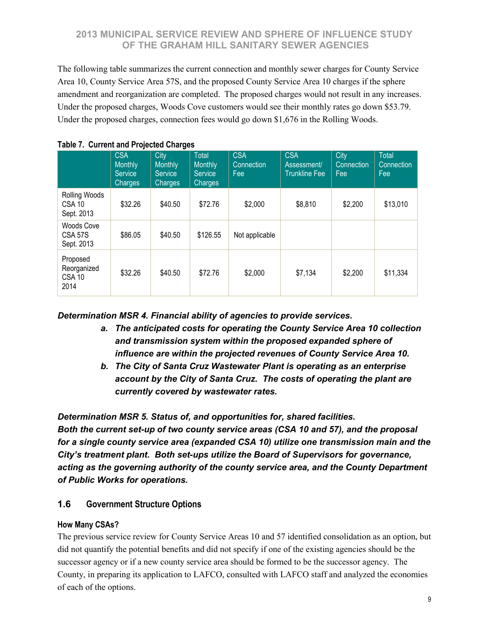The following table summarizes the current connection and monthly sewer charges for County Service Area 10, County Service Area 57S, and the proposed County Service Area 10 charges if the sphere amendment and reorganization are completed. The proposed charges would not result in any increases. Under the proposed charges, Woods Cove customers would see their monthly rates go down \$53.79. Under the proposed charges, connection fees would go down \$1,676 in the Rolling Woods.

|                                                  | <b>CSA</b><br><b>Monthly</b><br><b>Service</b><br><b>Charges</b> | City<br>Monthly<br><b>Service</b><br>Charges | <b>Total</b><br><b>Monthly</b><br><b>Service</b><br>Charges | <b>CSA</b><br>Connection<br>Fee | <b>CSA</b><br>Assessment/<br><b>Trunkline Fee</b> | City<br>Connection<br>Fee | <b>Total</b><br>Connection<br>Fee |
|--------------------------------------------------|------------------------------------------------------------------|----------------------------------------------|-------------------------------------------------------------|---------------------------------|---------------------------------------------------|---------------------------|-----------------------------------|
| Rolling Woods<br><b>CSA 10</b><br>Sept. 2013     | \$32.26                                                          | \$40.50                                      | \$72.76                                                     | \$2,000                         | \$8,810                                           | \$2,200                   | \$13,010                          |
| Woods Cove<br><b>CSA 57S</b><br>Sept. 2013       | \$86.05                                                          | \$40.50                                      | \$126.55                                                    | Not applicable                  |                                                   |                           |                                   |
| Proposed<br>Reorganized<br><b>CSA 10</b><br>2014 | \$32.26                                                          | \$40.50                                      | \$72.76                                                     | \$2,000                         | \$7,134                                           | \$2,200                   | \$11,334                          |

|  | <b>Table 7. Current and Projected Charges</b> |
|--|-----------------------------------------------|
|--|-----------------------------------------------|

*Determination MSR 4. Financial ability of agencies to provide services.*

- *a. The anticipated costs for operating the County Service Area 10 collection and transmission system within the proposed expanded sphere of influence are within the projected revenues of County Service Area 10.*
- *b. The City of Santa Cruz Wastewater Plant is operating as an enterprise account by the City of Santa Cruz. The costs of operating the plant are currently covered by wastewater rates.*

*Determination MSR 5. Status of, and opportunities for, shared facilities. Both the current set-up of two county service areas (CSA 10 and 57), and the proposal for a single county service area (expanded CSA 10) utilize one transmission main and the City's treatment plant. Both set-ups utilize the Board of Supervisors for governance, acting as the governing authority of the county service area, and the County Department of Public Works for operations.*

## **1.6 Government Structure Options**

## **How Many CSAs?**

The previous service review for County Service Areas 10 and 57 identified consolidation as an option, but did not quantify the potential benefits and did not specify if one of the existing agencies should be the successor agency or if a new county service area should be formed to be the successor agency. The County, in preparing its application to LAFCO, consulted with LAFCO staff and analyzed the economies of each of the options.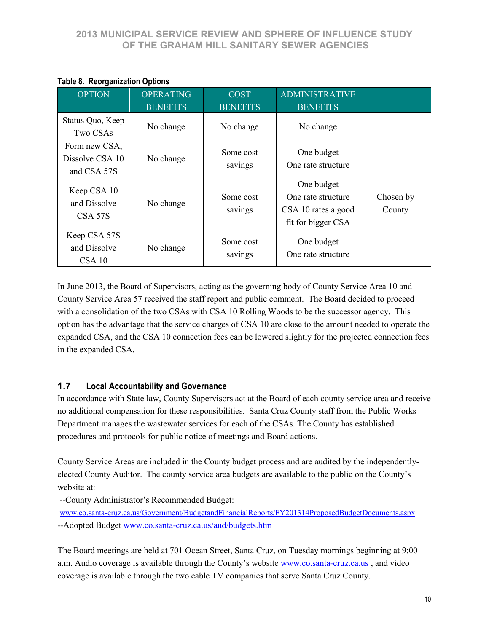| <b>OPTION</b>                                   | <b>OPERATING</b> | <b>COST</b>          | <b>ADMINISTRATIVE</b>                                                         |                     |
|-------------------------------------------------|------------------|----------------------|-------------------------------------------------------------------------------|---------------------|
|                                                 | <b>BENEFITS</b>  | <b>BENEFITS</b>      | <b>BENEFITS</b>                                                               |                     |
| Status Quo, Keep<br>Two CSAs                    | No change        | No change            | No change                                                                     |                     |
| Form new CSA,<br>Dissolve CSA 10<br>and CSA 57S | No change        | Some cost<br>savings | One budget<br>One rate structure                                              |                     |
| Keep CSA 10<br>and Dissolve<br>CSA 57S          | No change        | Some cost<br>savings | One budget<br>One rate structure<br>CSA 10 rates a good<br>fit for bigger CSA | Chosen by<br>County |
| Keep CSA 57S<br>and Dissolve<br>CSA 10          | No change        | Some cost<br>savings | One budget<br>One rate structure                                              |                     |

## **Table 8. Reorganization Options**

In June 2013, the Board of Supervisors, acting as the governing body of County Service Area 10 and County Service Area 57 received the staff report and public comment. The Board decided to proceed with a consolidation of the two CSAs with CSA 10 Rolling Woods to be the successor agency. This option has the advantage that the service charges of CSA 10 are close to the amount needed to operate the expanded CSA, and the CSA 10 connection fees can be lowered slightly for the projected connection fees in the expanded CSA.

## **1.7 Local Accountability and Governance**

In accordance with State law, County Supervisors act at the Board of each county service area and receive no additional compensation for these responsibilities. Santa Cruz County staff from the Public Works Department manages the wastewater services for each of the CSAs. The County has established procedures and protocols for public notice of meetings and Board actions.

County Service Areas are included in the County budget process and are audited by the independentlyelected County Auditor. The county service area budgets are available to the public on the County's website at:

--County Administrator's Recommended Budget:

[www.co.santa-cruz.ca.us/Government/BudgetandFinancialReports/FY201314ProposedBudgetDocuments.aspx](http://www.co.santa-cruz.ca.us/Government/BudgetandFinancialReports/FY201314ProposedBudgetDocuments.aspx) --Adopted Budget [www.co.santa-cruz.ca.us/aud/budgets.htm](http://www.co.santa-cruz.ca.us/aud/budgets.htm)

The Board meetings are held at 701 Ocean Street, Santa Cruz, on Tuesday mornings beginning at 9:00 a.m. Audio coverage is available through the County's website [www.co.santa-cruz.ca.us](http://www.co.santa-cruz.ca.us/) , and video coverage is available through the two cable TV companies that serve Santa Cruz County.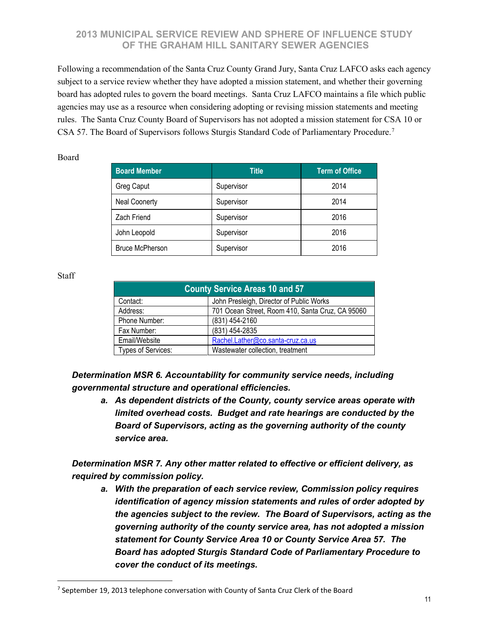Following a recommendation of the Santa Cruz County Grand Jury, Santa Cruz LAFCO asks each agency subject to a service review whether they have adopted a mission statement, and whether their governing board has adopted rules to govern the board meetings. Santa Cruz LAFCO maintains a file which public agencies may use as a resource when considering adopting or revising mission statements and meeting rules. The Santa Cruz County Board of Supervisors has not adopted a mission statement for CSA 10 or CSA 57. The Board of Supervisors follows Sturgis Standard Code of Parliamentary Procedure.[7](#page-11-0)

#### Board

| <b>Board Member</b>    | <b>Title</b> | <b>Term of Office</b> |
|------------------------|--------------|-----------------------|
| Greg Caput             | Supervisor   | 2014                  |
| <b>Neal Coonerty</b>   | Supervisor   | 2014                  |
| Zach Friend            | Supervisor   | 2016                  |
| John Leopold           | Supervisor   | 2016                  |
| <b>Bruce McPherson</b> | Supervisor   | 2016                  |

#### Staff

 $\overline{a}$ 

| <b>County Service Areas 10 and 57</b> |                                                  |  |  |  |
|---------------------------------------|--------------------------------------------------|--|--|--|
| Contact:                              | John Presleigh, Director of Public Works         |  |  |  |
| Address:                              | 701 Ocean Street, Room 410, Santa Cruz, CA 95060 |  |  |  |
| Phone Number:                         | (831) 454-2160                                   |  |  |  |
| Fax Number:                           | (831) 454-2835                                   |  |  |  |
| Email/Website                         | Rachel.Lather@co.santa-cruz.ca.us                |  |  |  |
| Types of Services:                    | Wastewater collection, treatment                 |  |  |  |

*Determination MSR 6. Accountability for community service needs, including governmental structure and operational efficiencies.*

*a. As dependent districts of the County, county service areas operate with limited overhead costs. Budget and rate hearings are conducted by the Board of Supervisors, acting as the governing authority of the county service area.*

*Determination MSR 7. Any other matter related to effective or efficient delivery, as required by commission policy.*

*a. With the preparation of each service review, Commission policy requires identification of agency mission statements and rules of order adopted by the agencies subject to the review. The Board of Supervisors, acting as the governing authority of the county service area, has not adopted a mission statement for County Service Area 10 or County Service Area 57. The Board has adopted Sturgis Standard Code of Parliamentary Procedure to cover the conduct of its meetings.*

<span id="page-11-0"></span> $7$  September 19, 2013 telephone conversation with County of Santa Cruz Clerk of the Board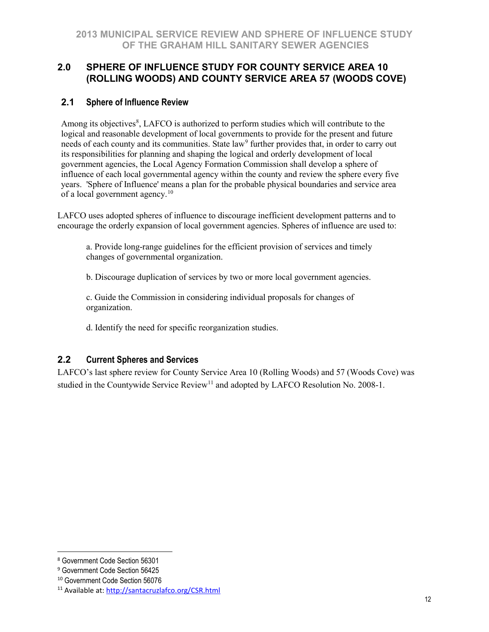## **2.0 SPHERE OF INFLUENCE STUDY FOR COUNTY SERVICE AREA 10 (ROLLING WOODS) AND COUNTY SERVICE AREA 57 (WOODS COVE)**

## **2.1 Sphere of Influence Review**

Among its objectives<sup>[8](#page-12-0)</sup>, LAFCO is authorized to perform studies which will contribute to the logical and reasonable development of local governments to provide for the present and future needs of each county and its communities. State law<sup>[9](#page-12-1)</sup> further provides that, in order to carry out its responsibilities for planning and shaping the logical and orderly development of local government agencies, the Local Agency Formation Commission shall develop a sphere of influence of each local governmental agency within the county and review the sphere every five years. 'Sphere of Influence' means a plan for the probable physical boundaries and service area of a local government agency.[10](#page-12-2)

LAFCO uses adopted spheres of influence to discourage inefficient development patterns and to encourage the orderly expansion of local government agencies. Spheres of influence are used to:

a. Provide long-range guidelines for the efficient provision of services and timely changes of governmental organization.

b. Discourage duplication of services by two or more local government agencies.

c. Guide the Commission in considering individual proposals for changes of organization.

d. Identify the need for specific reorganization studies.

## **2.2 Current Spheres and Services**

LAFCO's last sphere review for County Service Area 10 (Rolling Woods) and 57 (Woods Cove) was studied in the Countywide Service Review<sup>11</sup> and adopted by LAFCO Resolution No. 2008-1.

 $\overline{a}$ 

<span id="page-12-0"></span><sup>8</sup> Government Code Section 56301

<span id="page-12-1"></span><sup>9</sup> Government Code Section 56425

<span id="page-12-2"></span><sup>10</sup> Government Code Section 56076

<span id="page-12-3"></span><sup>11</sup> Available at:<http://santacruzlafco.org/CSR.html>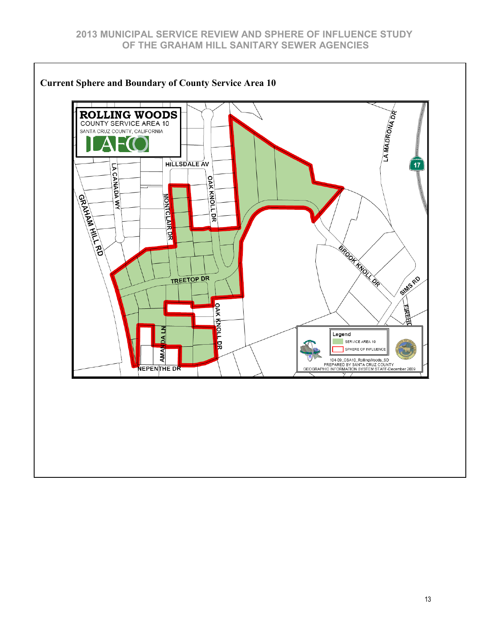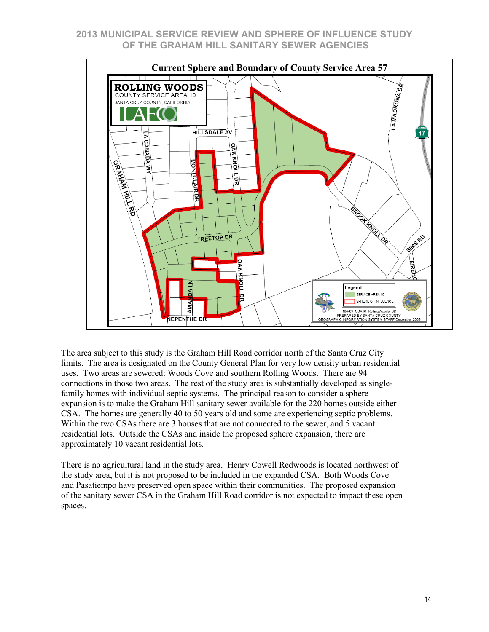

The area subject to this study is the Graham Hill Road corridor north of the Santa Cruz City limits. The area is designated on the County General Plan for very low density urban residential uses. Two areas are sewered: Woods Cove and southern Rolling Woods. There are 94 connections in those two areas. The rest of the study area is substantially developed as singlefamily homes with individual septic systems. The principal reason to consider a sphere expansion is to make the Graham Hill sanitary sewer available for the 220 homes outside either CSA. The homes are generally 40 to 50 years old and some are experiencing septic problems. Within the two CSAs there are 3 houses that are not connected to the sewer, and 5 vacant residential lots. Outside the CSAs and inside the proposed sphere expansion, there are approximately 10 vacant residential lots.

There is no agricultural land in the study area. Henry Cowell Redwoods is located northwest of the study area, but it is not proposed to be included in the expanded CSA. Both Woods Cove and Pasatiempo have preserved open space within their communities. The proposed expansion of the sanitary sewer CSA in the Graham Hill Road corridor is not expected to impact these open spaces.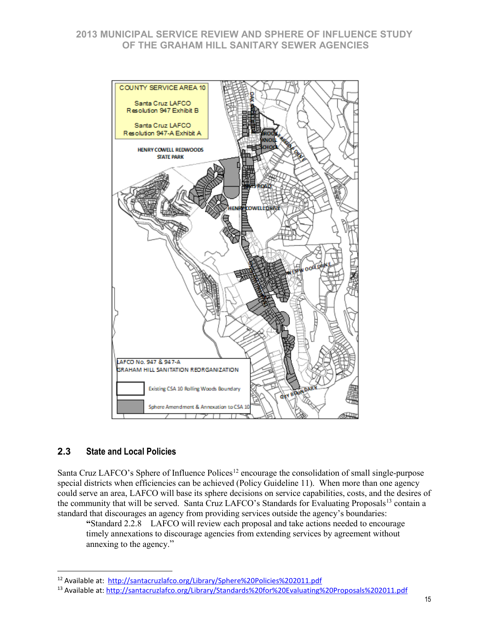

## **2.3 State and Local Policies**

 $\overline{a}$ 

Santa Cruz LAFCO's Sphere of Influence Polices<sup>[12](#page-15-0)</sup> encourage the consolidation of small single-purpose special districts when efficiencies can be achieved (Policy Guideline 11). When more than one agency could serve an area, LAFCO will base its sphere decisions on service capabilities, costs, and the desires of the community that will be served. Santa Cruz LAFCO's Standards for Evaluating Proposals<sup>[13](#page-15-1)</sup> contain a standard that discourages an agency from providing services outside the agency's boundaries:

**"**Standard 2.2.8 LAFCO will review each proposal and take actions needed to encourage timely annexations to discourage agencies from extending services by agreement without annexing to the agency."

<span id="page-15-0"></span><sup>12</sup> Available at: <http://santacruzlafco.org/Library/Sphere%20Policies%202011.pdf>

<span id="page-15-1"></span><sup>13</sup> Available at:<http://santacruzlafco.org/Library/Standards%20for%20Evaluating%20Proposals%202011.pdf>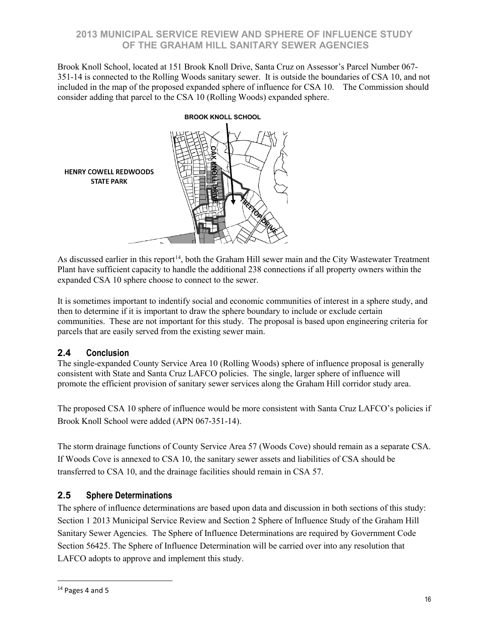Brook Knoll School, located at 151 Brook Knoll Drive, Santa Cruz on Assessor's Parcel Number 067- 351-14 is connected to the Rolling Woods sanitary sewer. It is outside the boundaries of CSA 10, and not included in the map of the proposed expanded sphere of influence for CSA 10. The Commission should consider adding that parcel to the CSA 10 (Rolling Woods) expanded sphere.



As discussed earlier in this report<sup>14</sup>, both the Graham Hill sewer main and the City Wastewater Treatment Plant have sufficient capacity to handle the additional 238 connections if all property owners within the expanded CSA 10 sphere choose to connect to the sewer.

It is sometimes important to indentify social and economic communities of interest in a sphere study, and then to determine if it is important to draw the sphere boundary to include or exclude certain communities. These are not important for this study. The proposal is based upon engineering criteria for parcels that are easily served from the existing sewer main.

## **2.4 Conclusion**

The single-expanded County Service Area 10 (Rolling Woods) sphere of influence proposal is generally consistent with State and Santa Cruz LAFCO policies. The single, larger sphere of influence will promote the efficient provision of sanitary sewer services along the Graham Hill corridor study area.

The proposed CSA 10 sphere of influence would be more consistent with Santa Cruz LAFCO's policies if Brook Knoll School were added (APN 067-351-14).

The storm drainage functions of County Service Area 57 (Woods Cove) should remain as a separate CSA. If Woods Cove is annexed to CSA 10, the sanitary sewer assets and liabilities of CSA should be transferred to CSA 10, and the drainage facilities should remain in CSA 57.

## **2.5 Sphere Determinations**

The sphere of influence determinations are based upon data and discussion in both sections of this study: Section 1 2013 Municipal Service Review and Section 2 Sphere of Influence Study of the Graham Hill Sanitary Sewer Agencies. The Sphere of Influence Determinations are required by Government Code Section 56425. The Sphere of Influence Determination will be carried over into any resolution that LAFCO adopts to approve and implement this study.

 $\overline{a}$ 

<span id="page-16-0"></span><sup>&</sup>lt;sup>14</sup> Pages 4 and 5